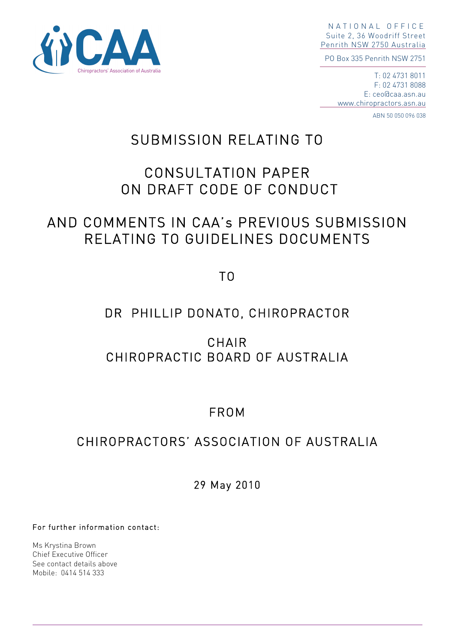

NATIONAL OFFICE Suite 2, 36 Woodriff Street Penrith NSW 2750 Australia

PO Box 335 Penrith NSW 2751

T: 02 4731 8011 F: 02 4731 8088 E: ceo@caa.asn.au www.chiropractors.asn.au

ABN 50 050 096 038

# SUBMISSION RELATING TO

# CONSULTATION PAPER ON DRAFT CODE OF CONDUCT

# AND COMMENTS IN CAA's PREVIOUS SUBMISSION RELATING TO GUIDELINES DOCUMENTS

TO

## DR PHILLIP DONATO, CHIROPRACTOR

CHAIR CHIROPRACTIC BOARD OF AUSTRALIA

# FROM

## CHIROPRACTORS' ASSOCIATION OF AUSTRALIA

29 May 2010

For further information contact:

Ms Krystina Brown Chief Executive Officer See contact details above Mobile: 0414 514 333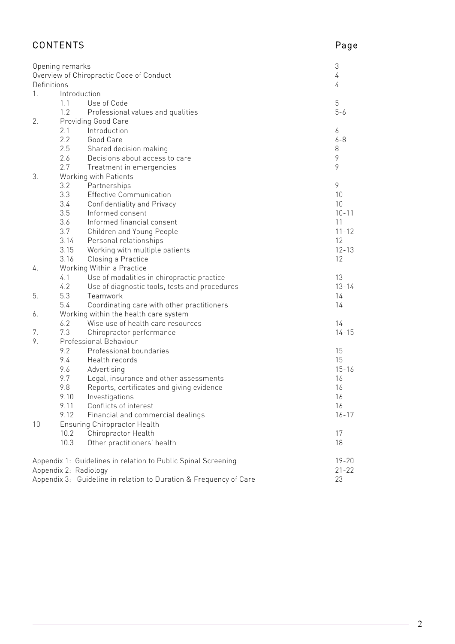| <b>CONTENTS</b>                                                   |                                       |                                                               | Page            |
|-------------------------------------------------------------------|---------------------------------------|---------------------------------------------------------------|-----------------|
| Opening remarks                                                   |                                       |                                                               | 3               |
| Overview of Chiropractic Code of Conduct<br>Definitions           |                                       |                                                               | 4<br>4          |
| Introduction<br>1.                                                |                                       |                                                               |                 |
|                                                                   | 1.1                                   | Use of Code                                                   | 5               |
|                                                                   | 1.2                                   | Professional values and qualities                             | $5 - 6$         |
| 2.                                                                | Providing Good Care                   |                                                               |                 |
|                                                                   | 2.1                                   | Introduction                                                  | 6               |
|                                                                   | 2.2                                   | Good Care                                                     | $6 - 8$         |
|                                                                   | 2.5                                   | Shared decision making                                        | 8               |
|                                                                   | 2.6                                   | Decisions about access to care                                | 9               |
|                                                                   | 2.7                                   | Treatment in emergencies                                      | 9               |
| 3.                                                                | Working with Patients                 |                                                               |                 |
|                                                                   | 3.2                                   | Partnerships                                                  | 9               |
|                                                                   | 3.3                                   | <b>Effective Communication</b>                                | 10              |
|                                                                   | 3.4                                   | Confidentiality and Privacy                                   | 10              |
|                                                                   | 3.5                                   | Informed consent                                              | $10 - 11$       |
|                                                                   | 3.6                                   | Informed financial consent                                    | 11              |
|                                                                   | 3.7<br>3.14                           | Children and Young People<br>Personal relationships           | $11 - 12$<br>12 |
|                                                                   | 3.15                                  | Working with multiple patients                                | $12 - 13$       |
|                                                                   | 3.16                                  | Closing a Practice                                            | 12              |
| 4.                                                                | Working Within a Practice             |                                                               |                 |
|                                                                   | 4.1                                   | Use of modalities in chiropractic practice                    | 13              |
|                                                                   | 4.2                                   | Use of diagnostic tools, tests and procedures                 | $13 - 14$       |
| 5.                                                                | 5.3                                   | Teamwork                                                      | 14              |
|                                                                   | 5.4                                   | Coordinating care with other practitioners                    | 14              |
| 6.                                                                | Working within the health care system |                                                               |                 |
|                                                                   | 6.2                                   | Wise use of health care resources                             | 14              |
| 7.                                                                | 7.3                                   | Chiropractor performance                                      | $14 - 15$       |
| 9.                                                                | Professional Behaviour                |                                                               |                 |
|                                                                   | 9.2                                   | Professional boundaries                                       | 15              |
|                                                                   | 9.4                                   | Health records                                                | 15              |
|                                                                   | 9.6                                   | Advertising                                                   | $15 - 16$       |
|                                                                   | 9.7                                   | Legal, insurance and other assessments                        | 16              |
|                                                                   | 9.8                                   | Reports, certificates and giving evidence                     | 16              |
|                                                                   | 9.10<br>9.11                          | Investigations<br>Conflicts of interest                       | 16<br>16        |
|                                                                   | 9.12                                  | Financial and commercial dealings                             | $16 - 17$       |
| 10                                                                | <b>Ensuring Chiropractor Health</b>   |                                                               |                 |
|                                                                   | 10.2<br>Chiropractor Health           |                                                               | 17              |
|                                                                   | 10.3                                  | Other practitioners' health                                   | 18              |
|                                                                   |                                       |                                                               |                 |
|                                                                   |                                       | Appendix 1: Guidelines in relation to Public Spinal Screening | $19 - 20$       |
| Appendix 2: Radiology<br>$21 - 22$                                |                                       |                                                               |                 |
| Appendix 3: Guideline in relation to Duration & Frequency of Care |                                       |                                                               | 23              |

 $\overline{\phantom{a}}$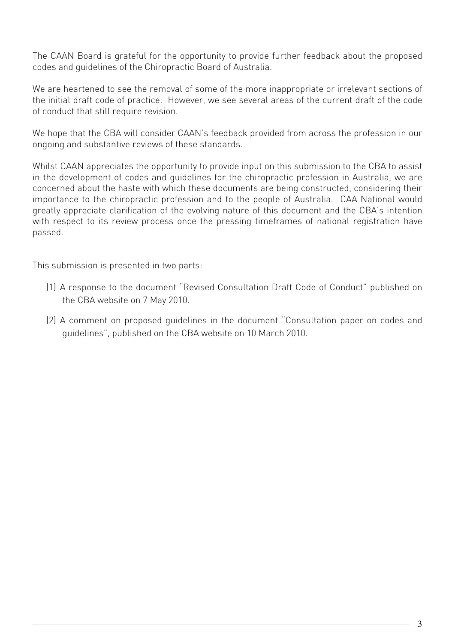The CAAN Board is grateful for the opportunity to provide further feedback about the proposed codes and guidelines of the Chiropractic Board of Australia.

We are heartened to see the removal of some of the more inappropriate or irrelevant sections of the initial draft code of practice. However, we see several areas of the current draft of the code of conduct that still require revision.

We hope that the CBA will consider CAAN's feedback provided from across the profession in our ongoing and substantive reviews of these standards.

Whilst CAAN appreciates the opportunity to provide input on this submission to the CBA to assist in the development of codes and guidelines for the chiropractic profession in Australia, we are concerned about the haste with which these documents are being constructed, considering their importance to the chiropractic profession and to the people of Australia. CAA National would greatly appreciate clarification of the evolving nature of this document and the CBA's intention with respect to its review process once the pressing timeframes of national registration have passed.

This submission is presented in two parts:

- (1) A response to the document "Revised Consultation Draft Code of Conduct" published on the CBA website on 7 May 2010.
- (2) A comment on proposed guidelines in the document "Consultation paper on codes and guidelines", published on the CBA website on 10 March 2010.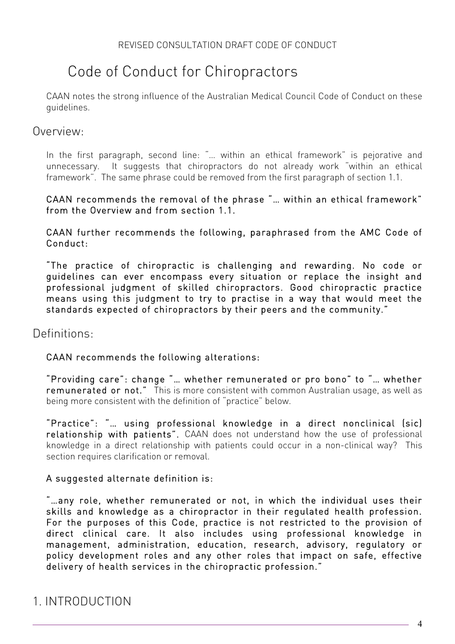# Code of Conduct for Chiropractors

CAAN notes the strong influence of the Australian Medical Council Code of Conduct on these guidelines.

#### Overview:

In the first paragraph, second line: "… within an ethical framework" is pejorative and unnecessary. It suggests that chiropractors do not already work "within an ethical framework". The same phrase could be removed from the first paragraph of section 1.1.

#### CAAN recommends the removal of the phrase "… within an ethical framework" from the Overview and from section 1.1.

CAAN further recommends the following, paraphrased from the AMC Code of Conduct:

"The practice of chiropractic is challenging and rewarding. No code or guidelines can ever encompass every situation or replace the insight and professional judgment of skilled chiropractors. Good chiropractic practice means using this judgment to try to practise in a way that would meet the standards expected of chiropractors by their peers and the community."

## Definitions:

#### CAAN recommends the following alterations:

"Providing care": change "… whether remunerated or pro bono" to "… whether remunerated or not." This is more consistent with common Australian usage, as well as being more consistent with the definition of "practice" below.

"Practice": "… using professional knowledge in a direct nonclinical (sic) relationship with patients". CAAN does not understand how the use of professional knowledge in a direct relationship with patients could occur in a non-clinical way? This section requires clarification or removal.

#### A suggested alternate definition is:

"…any role, whether remunerated or not, in which the individual uses their skills and knowledge as a chiropractor in their regulated health profession. For the purposes of this Code, practice is not restricted to the provision of direct clinical care. It also includes using professional knowledge in management, administration, education, research, advisory, regulatory or policy development roles and any other roles that impact on safe, effective delivery of health services in the chiropractic profession."

# 1. INTRODUCTION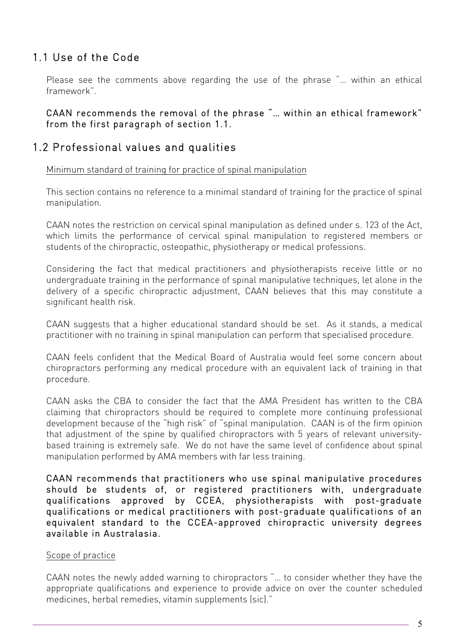## 1.1 Use of the Code

Please see the comments above regarding the use of the phrase "… within an ethical framework".

CAAN recommends the removal of the phrase "… within an ethical framework" from the first paragraph of section 1.1.

## 1.2 Professional values and qualities

Minimum standard of training for practice of spinal manipulation

This section contains no reference to a minimal standard of training for the practice of spinal manipulation.

CAAN notes the restriction on cervical spinal manipulation as defined under s. 123 of the Act, which limits the performance of cervical spinal manipulation to registered members or students of the chiropractic, osteopathic, physiotherapy or medical professions.

Considering the fact that medical practitioners and physiotherapists receive little or no undergraduate training in the performance of spinal manipulative techniques, let alone in the delivery of a specific chiropractic adjustment, CAAN believes that this may constitute a significant health risk.

CAAN suggests that a higher educational standard should be set. As it stands, a medical practitioner with no training in spinal manipulation can perform that specialised procedure.

CAAN feels confident that the Medical Board of Australia would feel some concern about chiropractors performing any medical procedure with an equivalent lack of training in that procedure.

CAAN asks the CBA to consider the fact that the AMA President has written to the CBA claiming that chiropractors should be required to complete more continuing professional development because of the "high risk" of "spinal manipulation. CAAN is of the firm opinion that adjustment of the spine by qualified chiropractors with 5 years of relevant universitybased training is extremely safe. We do not have the same level of confidence about spinal manipulation performed by AMA members with far less training.

CAAN recommends that practitioners who use spinal manipulative procedures should be students of, or registered practitioners with, undergraduate qualifications approved by CCEA, physiotherapists with post-graduate qualifications or medical practitioners with post-graduate qualifications of an equivalent standard to the CCEA-approved chiropractic university degrees available in Australasia.

#### Scope of practice

CAAN notes the newly added warning to chiropractors "… to consider whether they have the appropriate qualifications and experience to provide advice on over the counter scheduled medicines, herbal remedies, vitamin supplements (sic)."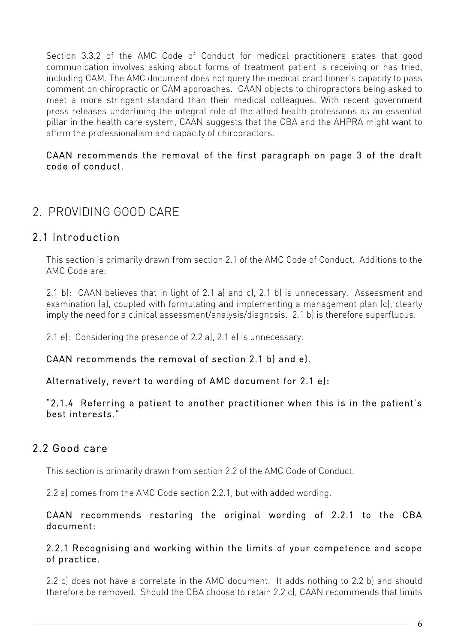Section 3.3.2 of the AMC Code of Conduct for medical practitioners states that good communication involves asking about forms of treatment patient is receiving or has tried, including CAM. The AMC document does not query the medical practitioner's capacity to pass comment on chiropractic or CAM approaches. CAAN objects to chiropractors being asked to meet a more stringent standard than their medical colleagues. With recent government press releases underlining the integral role of the allied health professions as an essential pillar in the health care system, CAAN suggests that the CBA and the AHPRA might want to affirm the professionalism and capacity of chiropractors.

#### CAAN recommends the removal of the first paragraph on page 3 of the draft code of conduct.

# 2. PROVIDING GOOD CARE

## 2.1 Introduction

This section is primarily drawn from section 2.1 of the AMC Code of Conduct. Additions to the AMC Code are:

2.1 b): CAAN believes that in light of 2.1 a) and c), 2.1 b) is unnecessary. Assessment and examination (a), coupled with formulating and implementing a management plan (c), clearly imply the need for a clinical assessment/analysis/diagnosis. 2.1 b) is therefore superfluous.

2.1 e): Considering the presence of 2.2 a), 2.1 e) is unnecessary.

CAAN recommends the removal of section 2.1 b) and e).

#### Alternatively, revert to wording of AMC document for 2.1 e):

"2.1.4 Referring a patient to another practitioner when this is in the patient's best interests."

## 2.2 Good care

This section is primarily drawn from section 2.2 of the AMC Code of Conduct.

2.2 a) comes from the AMC Code section 2.2.1, but with added wording.

#### CAAN recommends restoring the original wording of 2.2.1 to the CBA document:

#### 2.2.1 Recognising and working within the limits of your competence and scope of practice.

2.2 c) does not have a correlate in the AMC document. It adds nothing to 2.2 b) and should therefore be removed. Should the CBA choose to retain 2.2 c), CAAN recommends that limits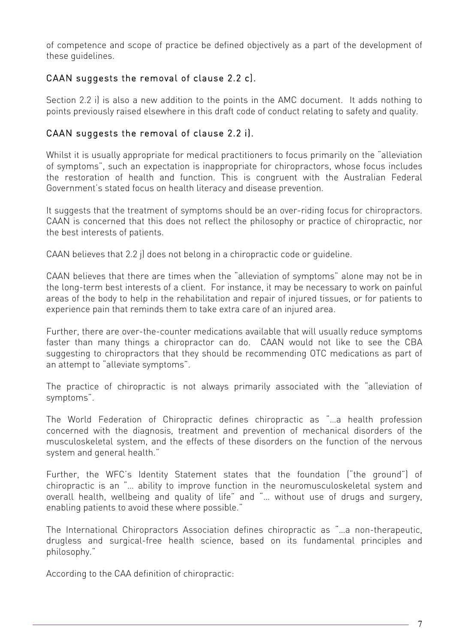of competence and scope of practice be defined objectively as a part of the development of these guidelines.

### CAAN suggests the removal of clause 2.2 c).

Section 2.2 i) is also a new addition to the points in the AMC document. It adds nothing to points previously raised elsewhere in this draft code of conduct relating to safety and quality.

### CAAN suggests the removal of clause 2.2 i).

Whilst it is usually appropriate for medical practitioners to focus primarily on the "alleviation of symptoms", such an expectation is inappropriate for chiropractors, whose focus includes the restoration of health and function. This is congruent with the Australian Federal Government's stated focus on health literacy and disease prevention.

It suggests that the treatment of symptoms should be an over-riding focus for chiropractors. CAAN is concerned that this does not reflect the philosophy or practice of chiropractic, nor the best interests of patients.

CAAN believes that 2.2 j) does not belong in a chiropractic code or guideline.

CAAN believes that there are times when the "alleviation of symptoms" alone may not be in the long-term best interests of a client. For instance, it may be necessary to work on painful areas of the body to help in the rehabilitation and repair of injured tissues, or for patients to experience pain that reminds them to take extra care of an injured area.

Further, there are over-the-counter medications available that will usually reduce symptoms faster than many things a chiropractor can do. CAAN would not like to see the CBA suggesting to chiropractors that they should be recommending OTC medications as part of an attempt to "alleviate symptoms".

The practice of chiropractic is not always primarily associated with the "alleviation of symptoms".

The World Federation of Chiropractic defines chiropractic as "…a health profession concerned with the diagnosis, treatment and prevention of mechanical disorders of the musculoskeletal system, and the effects of these disorders on the function of the nervous system and general health."

Further, the WFC's Identity Statement states that the foundation ("the ground") of chiropractic is an "… ability to improve function in the neuromusculoskeletal system and overall health, wellbeing and quality of life" and "… without use of drugs and surgery, enabling patients to avoid these where possible."

The International Chiropractors Association defines chiropractic as "…a non-therapeutic, drugless and surgical-free health science, based on its fundamental principles and philosophy."

According to the CAA definition of chiropractic: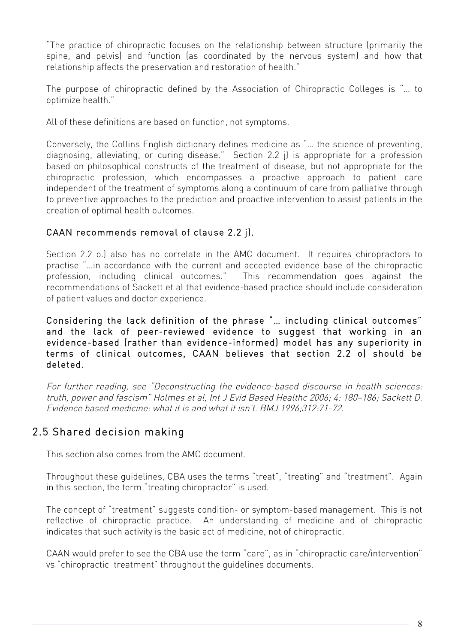"The practice of chiropractic focuses on the relationship between structure (primarily the spine, and pelvis) and function (as coordinated by the nervous system) and how that relationship affects the preservation and restoration of health."

The purpose of chiropractic defined by the Association of Chiropractic Colleges is "… to optimize health."

All of these definitions are based on function, not symptoms.

Conversely, the Collins English dictionary defines medicine as "… the science of preventing, diagnosing, alleviating, or curing disease." Section 2.2 j) is appropriate for a profession based on philosophical constructs of the treatment of disease, but not appropriate for the chiropractic profession, which encompasses a proactive approach to patient care independent of the treatment of symptoms along a continuum of care from palliative through to preventive approaches to the prediction and proactive intervention to assist patients in the creation of optimal health outcomes.

#### CAAN recommends removal of clause 2.2 j).

Section 2.2 o.) also has no correlate in the AMC document. It requires chiropractors to practise "…in accordance with the current and accepted evidence base of the chiropractic profession, including clinical outcomes." This recommendation goes against the recommendations of Sackett et al that evidence-based practice should include consideration of patient values and doctor experience.

Considering the lack definition of the phrase "… including clinical outcomes" and the lack of peer-reviewed evidence to suggest that working in an evidence-based (rather than evidence-informed) model has any superiority in terms of clinical outcomes, CAAN believes that section 2.2 o) should be deleted.

For further reading, see "Deconstructing the evidence-based discourse in health sciences: truth, power and fascism" Holmes et al, Int J Evid Based Healthc 2006; 4: 180–186; Sackett D. Evidence based medicine: what it is and what it isn't. BMJ 1996;312:71-72.

## 2.5 Shared decision making

This section also comes from the AMC document.

Throughout these guidelines, CBA uses the terms "treat", "treating" and "treatment". Again in this section, the term "treating chiropractor" is used.

The concept of "treatment" suggests condition- or symptom-based management. This is not reflective of chiropractic practice. An understanding of medicine and of chiropractic indicates that such activity is the basic act of medicine, not of chiropractic.

CAAN would prefer to see the CBA use the term "care", as in "chiropractic care/intervention" vs "chiropractic treatment" throughout the guidelines documents.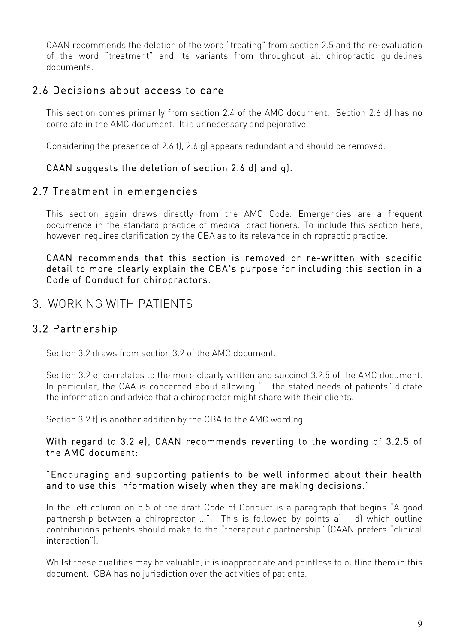CAAN recommends the deletion of the word "treating" from section 2.5 and the re-evaluation of the word "treatment" and its variants from throughout all chiropractic guidelines documents.

## 2.6 Decisions about access to care

This section comes primarily from section 2.4 of the AMC document. Section 2.6 d) has no correlate in the AMC document. It is unnecessary and pejorative.

Considering the presence of 2.6 f), 2.6 g) appears redundant and should be removed.

## CAAN suggests the deletion of section 2.6 d) and g).

## 2.7 Treatment in emergencies

This section again draws directly from the AMC Code. Emergencies are a frequent occurrence in the standard practice of medical practitioners. To include this section here, however, requires clarification by the CBA as to its relevance in chiropractic practice.

#### CAAN recommends that this section is removed or re-written with specific detail to more clearly explain the CBA's purpose for including this section in a Code of Conduct for chiropractors.

## 3. WORKING WITH PATIENTS

## 3.2 Partnership

Section 3.2 draws from section 3.2 of the AMC document.

Section 3.2 e) correlates to the more clearly written and succinct 3.2.5 of the AMC document. In particular, the CAA is concerned about allowing "… the stated needs of patients" dictate the information and advice that a chiropractor might share with their clients.

Section 3.2 f) is another addition by the CBA to the AMC wording.

#### With regard to 3.2 e), CAAN recommends reverting to the wording of 3.2.5 of the AMC document:

#### "Encouraging and supporting patients to be well informed about their health and to use this information wisely when they are making decisions."

In the left column on p.5 of the draft Code of Conduct is a paragraph that begins "A good partnership between a chiropractor …". This is followed by points a) – d) which outline contributions patients should make to the "therapeutic partnership" (CAAN prefers "clinical interaction").

Whilst these qualities may be valuable, it is inappropriate and pointless to outline them in this document. CBA has no jurisdiction over the activities of patients.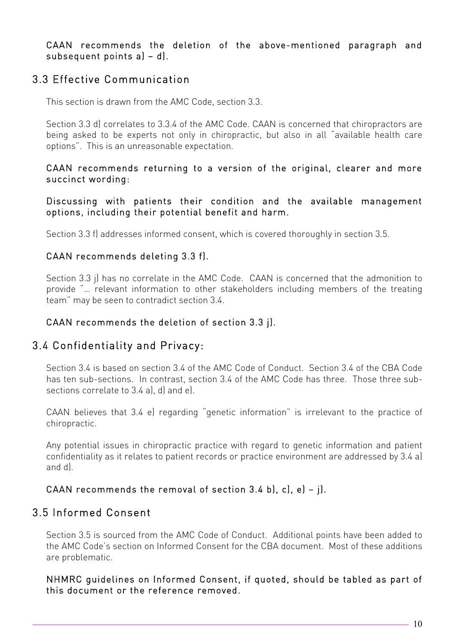CAAN recommends the deletion of the above-mentioned paragraph and subsequent points a) – d).

## 3.3 Effective Communication

This section is drawn from the AMC Code, section 3.3.

Section 3.3 d) correlates to 3.3.4 of the AMC Code. CAAN is concerned that chiropractors are being asked to be experts not only in chiropractic, but also in all "available health care options". This is an unreasonable expectation.

#### CAAN recommends returning to a version of the original, clearer and more succinct wording:

Discussing with patients their condition and the available management options, including their potential benefit and harm.

Section 3.3 f) addresses informed consent, which is covered thoroughly in section 3.5.

#### CAAN recommends deleting 3.3 f).

Section 3.3 j) has no correlate in the AMC Code. CAAN is concerned that the admonition to provide "… relevant information to other stakeholders including members of the treating team" may be seen to contradict section 3.4.

#### CAAN recommends the deletion of section 3.3 j).

## 3.4 Confidentiality and Privacy:

Section 3.4 is based on section 3.4 of the AMC Code of Conduct. Section 3.4 of the CBA Code has ten sub-sections. In contrast, section 3.4 of the AMC Code has three. Those three subsections correlate to 3.4 al, d) and el.

CAAN believes that 3.4 e) regarding "genetic information" is irrelevant to the practice of chiropractic.

Any potential issues in chiropractic practice with regard to genetic information and patient confidentiality as it relates to patient records or practice environment are addressed by 3.4 a) and d).

#### CAAN recommends the removal of section 3.4 b), c), e) – j).

## 3.5 Informed Consent

Section 3.5 is sourced from the AMC Code of Conduct. Additional points have been added to the AMC Code's section on Informed Consent for the CBA document. Most of these additions are problematic.

NHMRC guidelines on Informed Consent, if quoted, should be tabled as part of this document or the reference removed.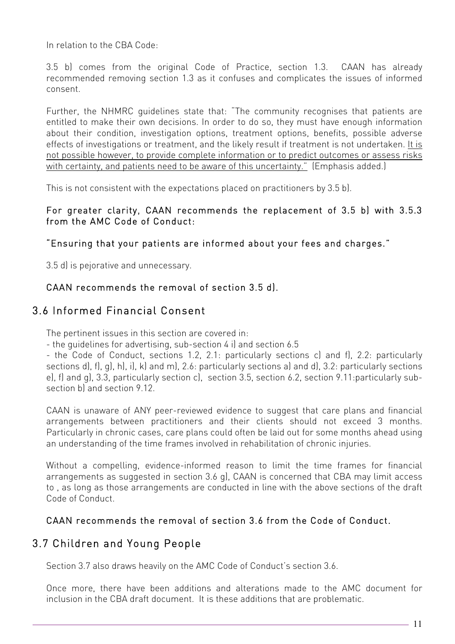In relation to the CBA Code:

3.5 b) comes from the original Code of Practice, section 1.3. CAAN has already recommended removing section 1.3 as it confuses and complicates the issues of informed consent.

Further, the NHMRC guidelines state that: "The community recognises that patients are entitled to make their own decisions. In order to do so, they must have enough information about their condition, investigation options, treatment options, benefits, possible adverse effects of investigations or treatment, and the likely result if treatment is not undertaken. It is not possible however, to provide complete information or to predict outcomes or assess risks with certainty, and patients need to be aware of this uncertainty." (Emphasis added.)

This is not consistent with the expectations placed on practitioners by 3.5 b).

#### For greater clarity, CAAN recommends the replacement of 3.5 b) with 3.5.3 from the AMC Code of Conduct:

#### "Ensuring that your patients are informed about your fees and charges."

3.5 d) is pejorative and unnecessary.

## CAAN recommends the removal of section 3.5 d).

## 3.6 Informed Financial Consent

The pertinent issues in this section are covered in:

- the guidelines for advertising, sub-section 4 i) and section 6.5

- the Code of Conduct, sections 1.2, 2.1: particularly sections c) and f), 2.2: particularly sections d), f), g), h), i), k) and m), 2.6: particularly sections a) and d), 3.2: particularly sections e), f) and g), 3.3, particularly section c), section 3.5, section 6.2, section 9.11:particularly subsection b) and section 9.12.

CAAN is unaware of ANY peer-reviewed evidence to suggest that care plans and financial arrangements between practitioners and their clients should not exceed 3 months. Particularly in chronic cases, care plans could often be laid out for some months ahead using an understanding of the time frames involved in rehabilitation of chronic injuries.

Without a compelling, evidence-informed reason to limit the time frames for financial arrangements as suggested in section 3.6 g), CAAN is concerned that CBA may limit access to , as long as those arrangements are conducted in line with the above sections of the draft Code of Conduct.

## CAAN recommends the removal of section 3.6 from the Code of Conduct.

## 3.7 Children and Young People

Section 3.7 also draws heavily on the AMC Code of Conduct's section 3.6.

Once more, there have been additions and alterations made to the AMC document for inclusion in the CBA draft document. It is these additions that are problematic.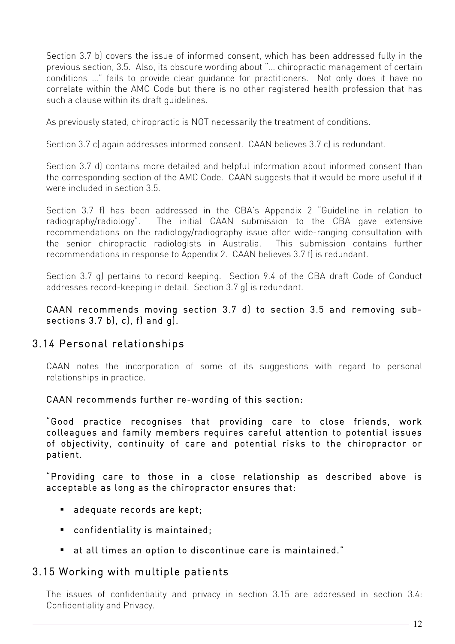Section 3.7 b) covers the issue of informed consent, which has been addressed fully in the previous section, 3.5. Also, its obscure wording about "… chiropractic management of certain conditions …" fails to provide clear guidance for practitioners. Not only does it have no correlate within the AMC Code but there is no other registered health profession that has such a clause within its draft guidelines.

As previously stated, chiropractic is NOT necessarily the treatment of conditions.

Section 3.7 c) again addresses informed consent. CAAN believes 3.7 c) is redundant.

Section 3.7 d) contains more detailed and helpful information about informed consent than the corresponding section of the AMC Code. CAAN suggests that it would be more useful if it were included in section 3.5.

Section 3.7 f) has been addressed in the CBA's Appendix 2 "Guideline in relation to radiography/radiology". The initial CAAN submission to the CBA gave extensive recommendations on the radiology/radiography issue after wide-ranging consultation with the senior chiropractic radiologists in Australia. This submission contains further recommendations in response to Appendix 2. CAAN believes 3.7 f) is redundant.

Section 3.7 g) pertains to record keeping. Section 9.4 of the CBA draft Code of Conduct addresses record-keeping in detail. Section 3.7 g) is redundant.

CAAN recommends moving section 3.7 d) to section 3.5 and removing subsections 3.7 b), c), f) and g).

## 3.14 Personal relationships

CAAN notes the incorporation of some of its suggestions with regard to personal relationships in practice.

CAAN recommends further re-wording of this section:

"Good practice recognises that providing care to close friends, work colleagues and family members requires careful attention to potential issues of objectivity, continuity of care and potential risks to the chiropractor or patient.

"Providing care to those in a close relationship as described above is acceptable as long as the chiropractor ensures that:

- adequate records are kept;
- confidentiality is maintained;
- at all times an option to discontinue care is maintained."

#### 3.15 Working with multiple patients

The issues of confidentiality and privacy in section 3.15 are addressed in section 3.4: Confidentiality and Privacy.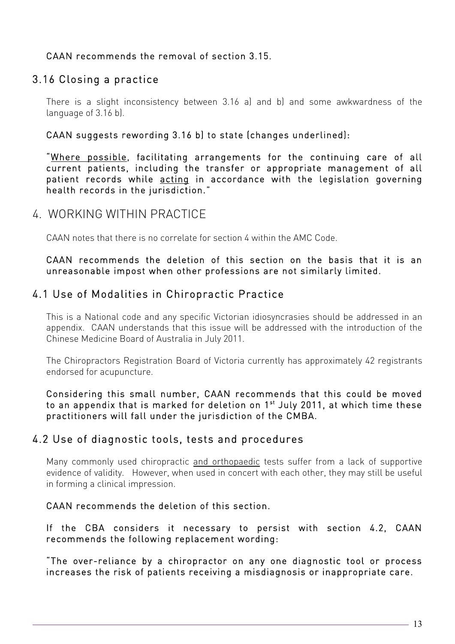### CAAN recommends the removal of section 3.15.

## 3.16 Closing a practice

There is a slight inconsistency between 3.16 a) and b) and some awkwardness of the language of 3.16 b).

#### CAAN suggests rewording 3.16 b) to state (changes underlined):

"Where possible, facilitating arrangements for the continuing care of all current patients, including the transfer or appropriate management of all patient records while acting in accordance with the legislation governing health records in the jurisdiction."

## 4. WORKING WITHIN PRACTICE

CAAN notes that there is no correlate for section 4 within the AMC Code.

#### CAAN recommends the deletion of this section on the basis that it is an unreasonable impost when other professions are not similarly limited.

## 4.1 Use of Modalities in Chiropractic Practice

This is a National code and any specific Victorian idiosyncrasies should be addressed in an appendix. CAAN understands that this issue will be addressed with the introduction of the Chinese Medicine Board of Australia in July 2011.

The Chiropractors Registration Board of Victoria currently has approximately 42 registrants endorsed for acupuncture.

Considering this small number, CAAN recommends that this could be moved to an appendix that is marked for deletion on 1<sup>st</sup> July 2011, at which time these practitioners will fall under the jurisdiction of the CMBA.

## 4.2 Use of diagnostic tools, tests and procedures

Many commonly used chiropractic and orthopaedic tests suffer from a lack of supportive evidence of validity. However, when used in concert with each other, they may still be useful in forming a clinical impression.

#### CAAN recommends the deletion of this section.

If the CBA considers it necessary to persist with section 4.2, CAAN recommends the following replacement wording:

"The over-reliance by a chiropractor on any one diagnostic tool or process increases the risk of patients receiving a misdiagnosis or inappropriate care.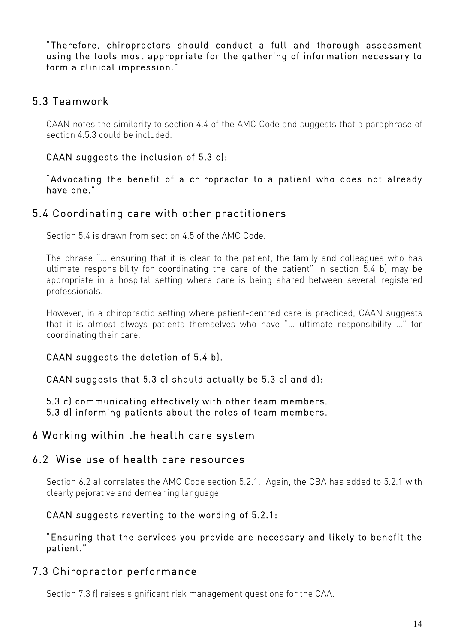"Therefore, chiropractors should conduct a full and thorough assessment using the tools most appropriate for the gathering of information necessary to form a clinical impression."

## 5.3 Teamwork

CAAN notes the similarity to section 4.4 of the AMC Code and suggests that a paraphrase of section 4.5.3 could be included.

#### CAAN suggests the inclusion of 5.3 c):

"Advocating the benefit of a chiropractor to a patient who does not already have one."

### 5.4 Coordinating care with other practitioners

Section 5.4 is drawn from section 4.5 of the AMC Code.

The phrase "… ensuring that it is clear to the patient, the family and colleagues who has ultimate responsibility for coordinating the care of the patient" in section 5.4 b) may be appropriate in a hospital setting where care is being shared between several registered professionals.

However, in a chiropractic setting where patient-centred care is practiced, CAAN suggests that it is almost always patients themselves who have "… ultimate responsibility …" for coordinating their care.

#### CAAN suggests the deletion of 5.4 b).

#### CAAN suggests that 5.3 c) should actually be 5.3 c) and d):

5.3 c) communicating effectively with other team members.

5.3 d) informing patients about the roles of team members.

#### 6 Working within the health care system

#### 6.2 Wise use of health care resources

Section 6.2 a) correlates the AMC Code section 5.2.1. Again, the CBA has added to 5.2.1 with clearly pejorative and demeaning language.

#### CAAN suggests reverting to the wording of 5.2.1:

#### "Ensuring that the services you provide are necessary and likely to benefit the patient."

## 7.3 Chiropractor performance

Section 7.3 f) raises significant risk management questions for the CAA.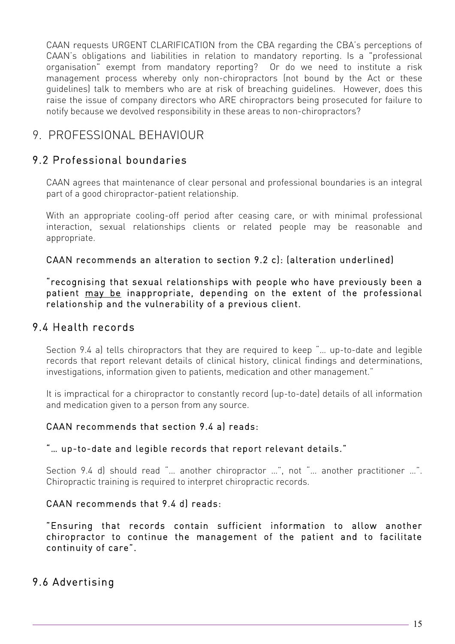CAAN requests URGENT CLARIFICATION from the CBA regarding the CBA's perceptions of CAAN's obligations and liabilities in relation to mandatory reporting. Is a "professional organisation" exempt from mandatory reporting? Or do we need to institute a risk management process whereby only non-chiropractors (not bound by the Act or these guidelines) talk to members who are at risk of breaching guidelines. However, does this raise the issue of company directors who ARE chiropractors being prosecuted for failure to notify because we devolved responsibility in these areas to non-chiropractors?

## 9. PROFESSIONAL BEHAVIOUR

## 9.2 Professional boundaries

CAAN agrees that maintenance of clear personal and professional boundaries is an integral part of a good chiropractor-patient relationship.

With an appropriate cooling-off period after ceasing care, or with minimal professional interaction, sexual relationships clients or related people may be reasonable and appropriate.

### CAAN recommends an alteration to section 9.2 c): (alteration underlined)

"recognising that sexual relationships with people who have previously been a patient may be inappropriate, depending on the extent of the professional relationship and the vulnerability of a previous client.

## 9.4 Health records

Section 9.4 a) tells chiropractors that they are required to keep "… up-to-date and legible records that report relevant details of clinical history, clinical findings and determinations, investigations, information given to patients, medication and other management."

It is impractical for a chiropractor to constantly record (up-to-date) details of all information and medication given to a person from any source.

#### CAAN recommends that section 9.4 a) reads:

#### "… up-to-date and legible records that report relevant details."

Section 9.4 d) should read "… another chiropractor …", not "… another practitioner …". Chiropractic training is required to interpret chiropractic records.

#### CAAN recommends that 9.4 d) reads:

"Ensuring that records contain sufficient information to allow another chiropractor to continue the management of the patient and to facilitate continuity of care".

## 9.6 Advertising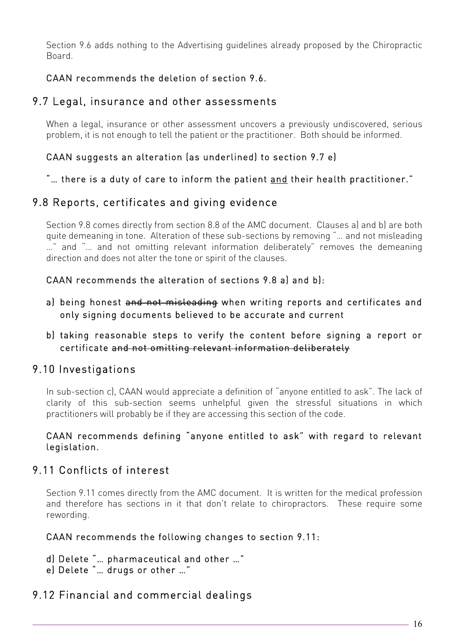Section 9.6 adds nothing to the Advertising guidelines already proposed by the Chiropractic Board.

## CAAN recommends the deletion of section 9.6.

## 9.7 Legal, insurance and other assessments

When a legal, insurance or other assessment uncovers a previously undiscovered, serious problem, it is not enough to tell the patient or the practitioner. Both should be informed.

### CAAN suggests an alteration (as underlined) to section 9.7 e)

"… there is a duty of care to inform the patient and their health practitioner."

## 9.8 Reports, certificates and giving evidence

Section 9.8 comes directly from section 8.8 of the AMC document. Clauses a) and b) are both quite demeaning in tone. Alteration of these sub-sections by removing "… and not misleading …" and "… and not omitting relevant information deliberately" removes the demeaning direction and does not alter the tone or spirit of the clauses.

CAAN recommends the alteration of sections 9.8 a) and b):

- a) being honest and not misleading when writing reports and certificates and only signing documents believed to be accurate and current
- b) taking reasonable steps to verify the content before signing a report or certificate and not omitting relevant information deliberately

## 9.10 Investigations

In sub-section c), CAAN would appreciate a definition of "anyone entitled to ask". The lack of clarity of this sub-section seems unhelpful given the stressful situations in which practitioners will probably be if they are accessing this section of the code.

#### CAAN recommends defining "anyone entitled to ask" with regard to relevant legislation.

## 9.11 Conflicts of interest

Section 9.11 comes directly from the AMC document. It is written for the medical profession and therefore has sections in it that don't relate to chiropractors. These require some rewording.

#### CAAN recommends the following changes to section 9.11:

d) Delete "… pharmaceutical and other …"

e) Delete "… drugs or other …"

## 9.12 Financial and commercial dealings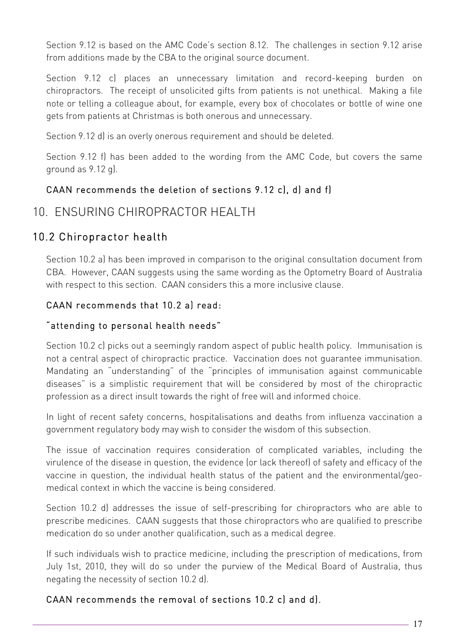Section 9.12 is based on the AMC Code's section 8.12. The challenges in section 9.12 arise from additions made by the CBA to the original source document.

Section 9.12 c) places an unnecessary limitation and record-keeping burden on chiropractors. The receipt of unsolicited gifts from patients is not unethical. Making a file note or telling a colleague about, for example, every box of chocolates or bottle of wine one gets from patients at Christmas is both onerous and unnecessary.

Section 9.12 d) is an overly onerous requirement and should be deleted.

Section 9.12 f) has been added to the wording from the AMC Code, but covers the same ground as 9.12 g).

## CAAN recommends the deletion of sections 9.12 c), d) and f)

## 10. ENSURING CHIROPRACTOR HEALTH

## 10.2 Chiropractor health

Section 10.2 a) has been improved in comparison to the original consultation document from CBA. However, CAAN suggests using the same wording as the Optometry Board of Australia with respect to this section. CAAN considers this a more inclusive clause.

### CAAN recommends that 10.2 a) read:

#### "attending to personal health needs"

Section 10.2 c) picks out a seemingly random aspect of public health policy. Immunisation is not a central aspect of chiropractic practice. Vaccination does not guarantee immunisation. Mandating an "understanding" of the "principles of immunisation against communicable diseases" is a simplistic requirement that will be considered by most of the chiropractic profession as a direct insult towards the right of free will and informed choice.

In light of recent safety concerns, hospitalisations and deaths from influenza vaccination a government regulatory body may wish to consider the wisdom of this subsection.

The issue of vaccination requires consideration of complicated variables, including the virulence of the disease in question, the evidence (or lack thereof) of safety and efficacy of the vaccine in question, the individual health status of the patient and the environmental/geomedical context in which the vaccine is being considered.

Section 10.2 d) addresses the issue of self-prescribing for chiropractors who are able to prescribe medicines. CAAN suggests that those chiropractors who are qualified to prescribe medication do so under another qualification, such as a medical degree.

If such individuals wish to practice medicine, including the prescription of medications, from July 1st, 2010, they will do so under the purview of the Medical Board of Australia, thus negating the necessity of section 10.2 d).

## CAAN recommends the removal of sections 10.2 c) and d).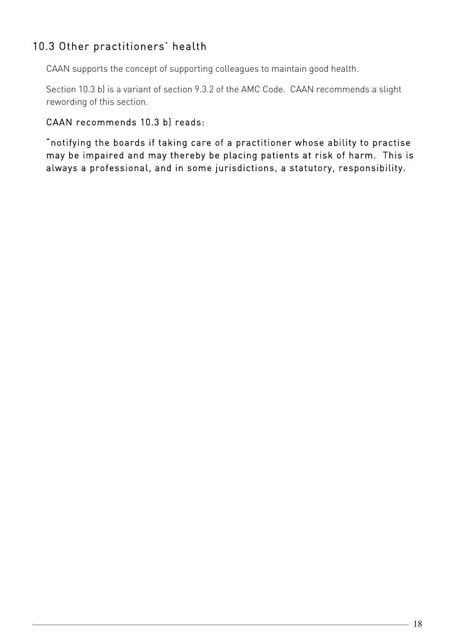## 10.3 Other practitioners' health

CAAN supports the concept of supporting colleagues to maintain good health.

Section 10.3 b) is a variant of section 9.3.2 of the AMC Code. CAAN recommends a slight rewording of this section.

### CAAN recommends 10.3 b) reads:

"notifying the boards if taking care of a practitioner whose ability to practise may be impaired and may thereby be placing patients at risk of harm. This is always a professional, and in some jurisdictions, a statutory, responsibility.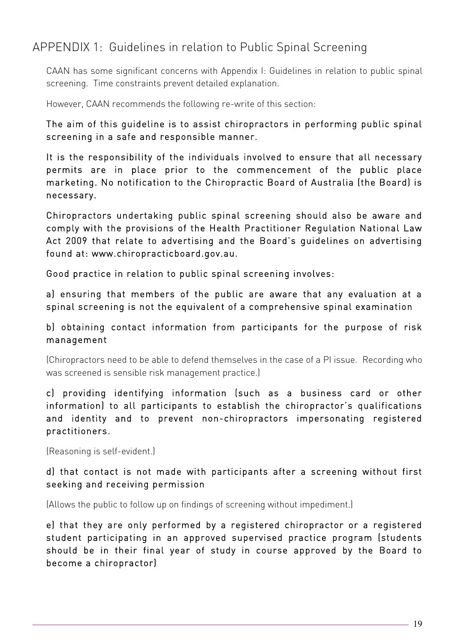## APPENDIX 1: Guidelines in relation to Public Spinal Screening

CAAN has some significant concerns with Appendix I: Guidelines in relation to public spinal screening. Time constraints prevent detailed explanation.

However, CAAN recommends the following re-write of this section:

The aim of this guideline is to assist chiropractors in performing public spinal screening in a safe and responsible manner.

It is the responsibility of the individuals involved to ensure that all necessary permits are in place prior to the commencement of the public place marketing. No notification to the Chiropractic Board of Australia (the Board) is necessary.

Chiropractors undertaking public spinal screening should also be aware and comply with the provisions of the Health Practitioner Regulation National Law Act 2009 that relate to advertising and the Board's guidelines on advertising found at: www.chiropracticboard.gov.au.

Good practice in relation to public spinal screening involves:

a) ensuring that members of the public are aware that any evaluation at a spinal screening is not the equivalent of a comprehensive spinal examination

### b) obtaining contact information from participants for the purpose of risk management

(Chiropractors need to be able to defend themselves in the case of a PI issue. Recording who was screened is sensible risk management practice.)

c) providing identifying information (such as a business card or other information) to all participants to establish the chiropractor's qualifications and identity and to prevent non-chiropractors impersonating registered practitioners.

(Reasoning is self-evident.)

#### d) that contact is not made with participants after a screening without first seeking and receiving permission

(Allows the public to follow up on findings of screening without impediment.)

e) that they are only performed by a registered chiropractor or a registered student participating in an approved supervised practice program (students should be in their final year of study in course approved by the Board to become a chiropractor)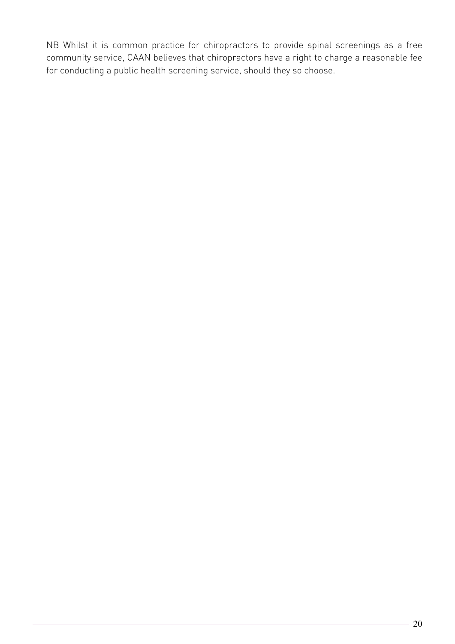NB Whilst it is common practice for chiropractors to provide spinal screenings as a free community service, CAAN believes that chiropractors have a right to charge a reasonable fee for conducting a public health screening service, should they so choose.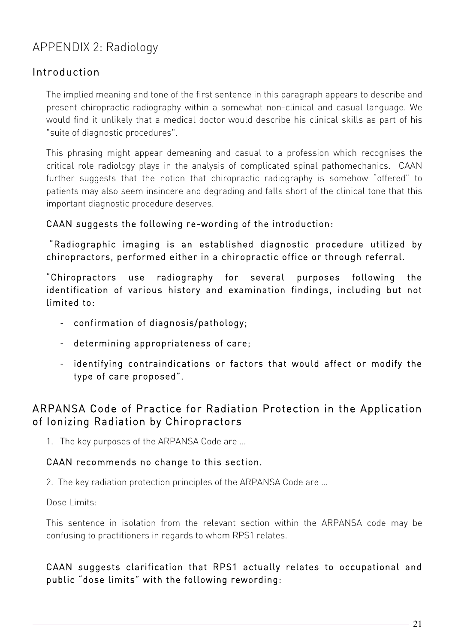# APPENDIX 2: Radiology

## Introduction

The implied meaning and tone of the first sentence in this paragraph appears to describe and present chiropractic radiography within a somewhat non-clinical and casual language. We would find it unlikely that a medical doctor would describe his clinical skills as part of his "suite of diagnostic procedures".

This phrasing might appear demeaning and casual to a profession which recognises the critical role radiology plays in the analysis of complicated spinal pathomechanics. CAAN further suggests that the notion that chiropractic radiography is somehow "offered" to patients may also seem insincere and degrading and falls short of the clinical tone that this important diagnostic procedure deserves.

### CAAN suggests the following re-wording of the introduction:

 "Radiographic imaging is an established diagnostic procedure utilized by chiropractors, performed either in a chiropractic office or through referral.

"Chiropractors use radiography for several purposes following the identification of various history and examination findings, including but not limited to:

- confirmation of diagnosis/pathology;
- determining appropriateness of care;
- identifying contraindications or factors that would affect or modify the type of care proposed".

## ARPANSA Code of Practice for Radiation Protection in the Application of Ionizing Radiation by Chiropractors

1. The key purposes of the ARPANSA Code are …

#### CAAN recommends no change to this section.

2. The key radiation protection principles of the ARPANSA Code are …

Dose Limits:

This sentence in isolation from the relevant section within the ARPANSA code may be confusing to practitioners in regards to whom RPS1 relates.

## CAAN suggests clarification that RPS1 actually relates to occupational and public "dose limits" with the following rewording: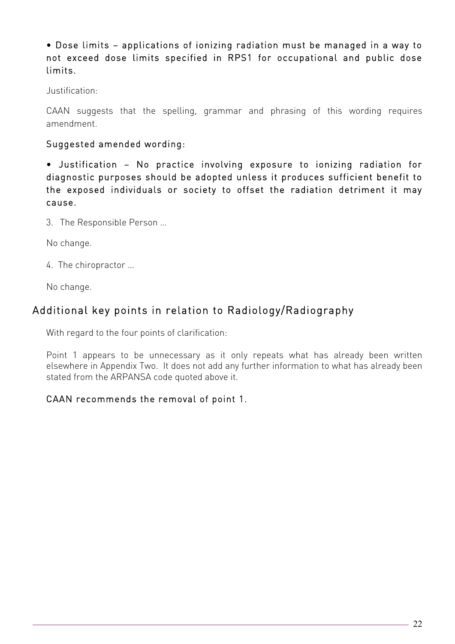• Dose limits – applications of ionizing radiation must be managed in a way to not exceed dose limits specified in RPS1 for occupational and public dose limits.

Justification:

CAAN suggests that the spelling, grammar and phrasing of this wording requires amendment.

### Suggested amended wording:

• Justification – No practice involving exposure to ionizing radiation for diagnostic purposes should be adopted unless it produces sufficient benefit to the exposed individuals or society to offset the radiation detriment it may cause.

3. The Responsible Person …

No change.

4. The chiropractor …

No change.

## Additional key points in relation to Radiology/Radiography

With regard to the four points of clarification:

Point 1 appears to be unnecessary as it only repeats what has already been written elsewhere in Appendix Two. It does not add any further information to what has already been stated from the ARPANSA code quoted above it.

## CAAN recommends the removal of point 1.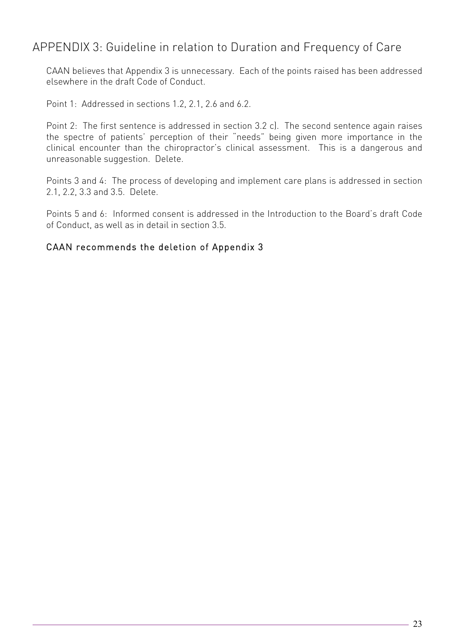## APPENDIX 3: Guideline in relation to Duration and Frequency of Care

CAAN believes that Appendix 3 is unnecessary. Each of the points raised has been addressed elsewhere in the draft Code of Conduct.

Point 1: Addressed in sections 1.2, 2.1, 2.6 and 6.2.

Point 2: The first sentence is addressed in section 3.2 c). The second sentence again raises the spectre of patients' perception of their "needs" being given more importance in the clinical encounter than the chiropractor's clinical assessment. This is a dangerous and unreasonable suggestion. Delete.

Points 3 and 4: The process of developing and implement care plans is addressed in section 2.1, 2.2, 3.3 and 3.5. Delete.

Points 5 and 6: Informed consent is addressed in the Introduction to the Board's draft Code of Conduct, as well as in detail in section 3.5.

#### CAAN recommends the deletion of Appendix 3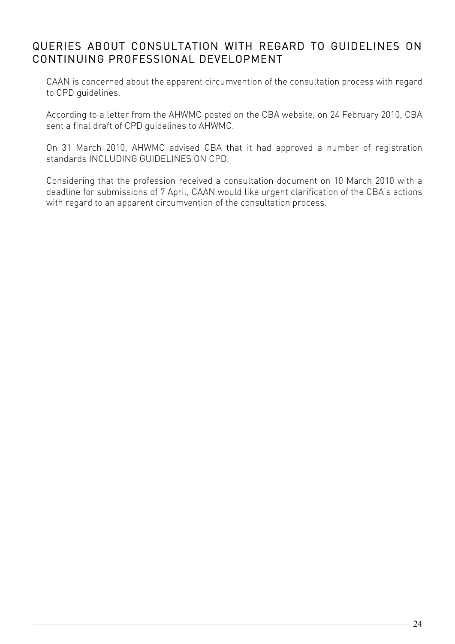## QUERIES ABOUT CONSULTATION WITH REGARD TO GUIDELINES ON CONTINUING PROFESSIONAL DEVELOPMENT

CAAN is concerned about the apparent circumvention of the consultation process with regard to CPD guidelines.

According to a letter from the AHWMC posted on the CBA website, on 24 February 2010, CBA sent a final draft of CPD guidelines to AHWMC.

On 31 March 2010, AHWMC advised CBA that it had approved a number of registration standards INCLUDING GUIDELINES ON CPD.

Considering that the profession received a consultation document on 10 March 2010 with a deadline for submissions of 7 April, CAAN would like urgent clarification of the CBA's actions with regard to an apparent circumvention of the consultation process.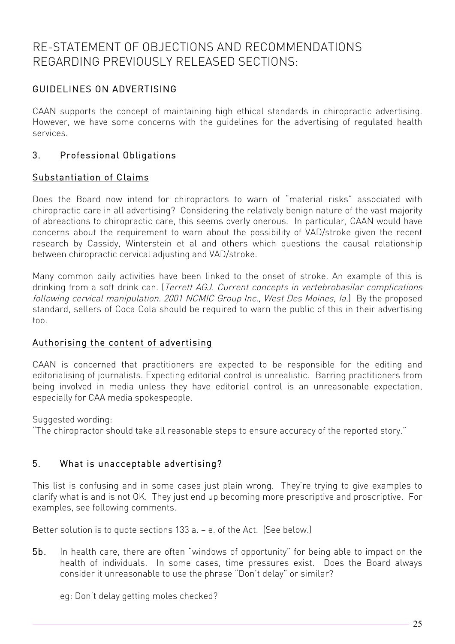## RE-STATEMENT OF OBJECTIONS AND RECOMMENDATIONS REGARDING PREVIOUSLY RELEASED SECTIONS:

## GUIDELINES ON ADVERTISING

CAAN supports the concept of maintaining high ethical standards in chiropractic advertising. However, we have some concerns with the guidelines for the advertising of regulated health services.

### 3. Professional Obligations

#### Substantiation of Claims

Does the Board now intend for chiropractors to warn of "material risks" associated with chiropractic care in all advertising? Considering the relatively benign nature of the vast majority of abreactions to chiropractic care, this seems overly onerous. In particular, CAAN would have concerns about the requirement to warn about the possibility of VAD/stroke given the recent research by Cassidy, Winterstein et al and others which questions the causal relationship between chiropractic cervical adjusting and VAD/stroke.

Many common daily activities have been linked to the onset of stroke. An example of this is drinking from a soft drink can. (Terrett AGJ. Current concepts in vertebrobasilar complications following cervical manipulation. 2001 NCMIC Group Inc., West Des Moines, Ia.) By the proposed standard, sellers of Coca Cola should be required to warn the public of this in their advertising too.

#### Authorising the content of advertising

CAAN is concerned that practitioners are expected to be responsible for the editing and editorialising of journalists. Expecting editorial control is unrealistic. Barring practitioners from being involved in media unless they have editorial control is an unreasonable expectation, especially for CAA media spokespeople.

Suggested wording:

"The chiropractor should take all reasonable steps to ensure accuracy of the reported story."

#### 5. What is unacceptable advertising?

This list is confusing and in some cases just plain wrong. They're trying to give examples to clarify what is and is not OK. They just end up becoming more prescriptive and proscriptive. For examples, see following comments.

Better solution is to quote sections 133 a. – e. of the Act. (See below.)

5b. In health care, there are often "windows of opportunity" for being able to impact on the health of individuals. In some cases, time pressures exist. Does the Board always consider it unreasonable to use the phrase "Don't delay" or similar?

eg: Don't delay getting moles checked?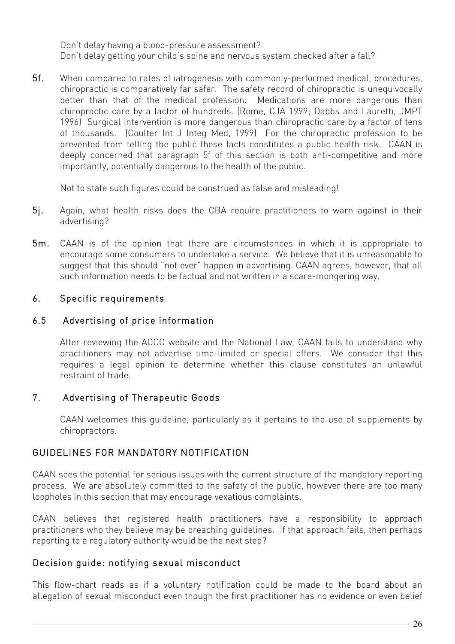Don't delay having a blood-pressure assessment? Don't delay getting your child's spine and nervous system checked after a fall?

5f. When compared to rates of iatrogenesis with commonly-performed medical, procedures, chiropractic is comparatively far safer. The safety record of chiropractic is unequivocally better than that of the medical profession. Medications are more dangerous than chiropractic care by a factor of hundreds. (Rome, CJA 1999; Dabbs and Lauretti, JMPT 1996) Surgical intervention is more dangerous than chiropractic care by a factor of tens of thousands. (Coulter Int J Integ Med, 1999) For the chiropractic profession to be prevented from telling the public these facts constitutes a public health risk. CAAN is deeply concerned that paragraph 5f of this section is both anti-competitive and more importantly, potentially dangerous to the health of the public.

Not to state such figures could be construed as false and misleading!

- 5j. Again, what health risks does the CBA require practitioners to warn against in their advertising?
- 5m. CAAN is of the opinion that there are circumstances in which it is appropriate to encourage some consumers to undertake a service. We believe that it is unreasonable to suggest that this should "not ever" happen in advertising. CAAN agrees, however, that all such information needs to be factual and not written in a scare-mongering way.

### 6. Specific requirements

#### 6.5 Advertising of price information

After reviewing the ACCC website and the National Law, CAAN fails to understand why practitioners may not advertise time-limited or special offers. We consider that this requires a legal opinion to determine whether this clause constitutes an unlawful restraint of trade.

#### 7. Advertising of Therapeutic Goods

CAAN welcomes this guideline, particularly as it pertains to the use of supplements by chiropractors.

#### GUIDELINES FOR MANDATORY NOTIFICATION

CAAN sees the potential for serious issues with the current structure of the mandatory reporting process. We are absolutely committed to the safety of the public, however there are too many loopholes in this section that may encourage vexatious complaints.

CAAN believes that registered health practitioners have a responsibility to approach practitioners who they believe may be breaching guidelines. If that approach fails, then perhaps reporting to a regulatory authority would be the next step?

#### Decision guide: notifying sexual misconduct

This flow-chart reads as if a voluntary notification could be made to the board about an allegation of sexual misconduct even though the first practitioner has no evidence or even belief